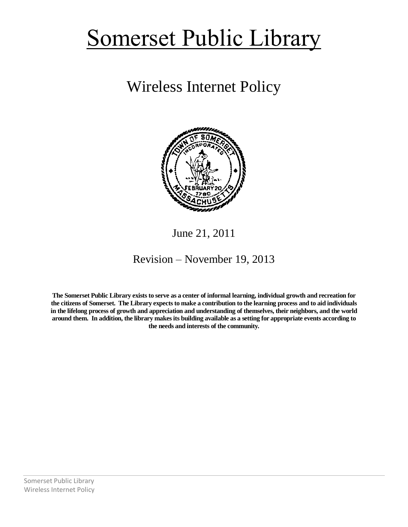## Somerset Public Library

## Wireless Internet Policy



## June 21, 2011

## Revision – November 19, 2013

**The Somerset Public Library exists to serve as a center of informal learning, individual growth and recreation for the citizens of Somerset. The Library expects to make a contribution to the learning process and to aid individuals in the lifelong process of growth and appreciation and understanding of themselves, their neighbors, and the world around them. In addition, the library makes its building available as a setting for appropriate events according to the needs and interests of the community.**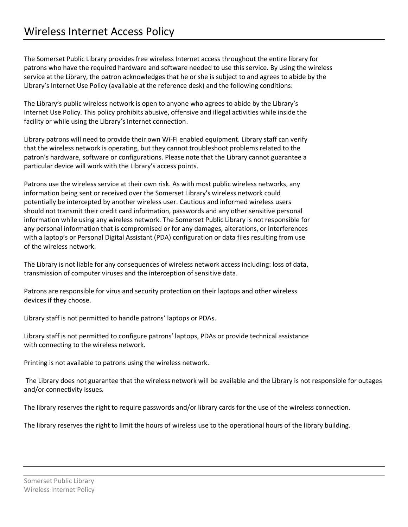The Somerset Public Library provides free wireless Internet access throughout the entire library for patrons who have the required hardware and software needed to use this service. By using the wireless service at the Library, the patron acknowledges that he or she is subject to and agrees to abide by the Library's Internet Use Policy (available at the reference desk) and the following conditions:

The Library's public wireless network is open to anyone who agrees to abide by the Library's Internet Use Policy. This policy prohibits abusive, offensive and illegal activities while inside the facility or while using the Library's Internet connection.

Library patrons will need to provide their own Wi-Fi enabled equipment. Library staff can verify that the wireless network is operating, but they cannot troubleshoot problems related to the patron's hardware, software or configurations. Please note that the Library cannot guarantee a particular device will work with the Library's access points.

Patrons use the wireless service at their own risk. As with most public wireless networks, any information being sent or received over the Somerset Library's wireless network could potentially be intercepted by another wireless user. Cautious and informed wireless users should not transmit their credit card information, passwords and any other sensitive personal information while using any wireless network. The Somerset Public Library is not responsible for any personal information that is compromised or for any damages, alterations, or interferences with a laptop's or Personal Digital Assistant (PDA) configuration or data files resulting from use of the wireless network.

The Library is not liable for any consequences of wireless network access including: loss of data, transmission of computer viruses and the interception of sensitive data.

Patrons are responsible for virus and security protection on their laptops and other wireless devices if they choose.

Library staff is not permitted to handle patrons' laptops or PDAs.

Library staff is not permitted to configure patrons' laptops, PDAs or provide technical assistance with connecting to the wireless network.

Printing is not available to patrons using the wireless network.

The Library does not guarantee that the wireless network will be available and the Library is not responsible for outages and/or connectivity issues.

The library reserves the right to require passwords and/or library cards for the use of the wireless connection.

The library reserves the right to limit the hours of wireless use to the operational hours of the library building.